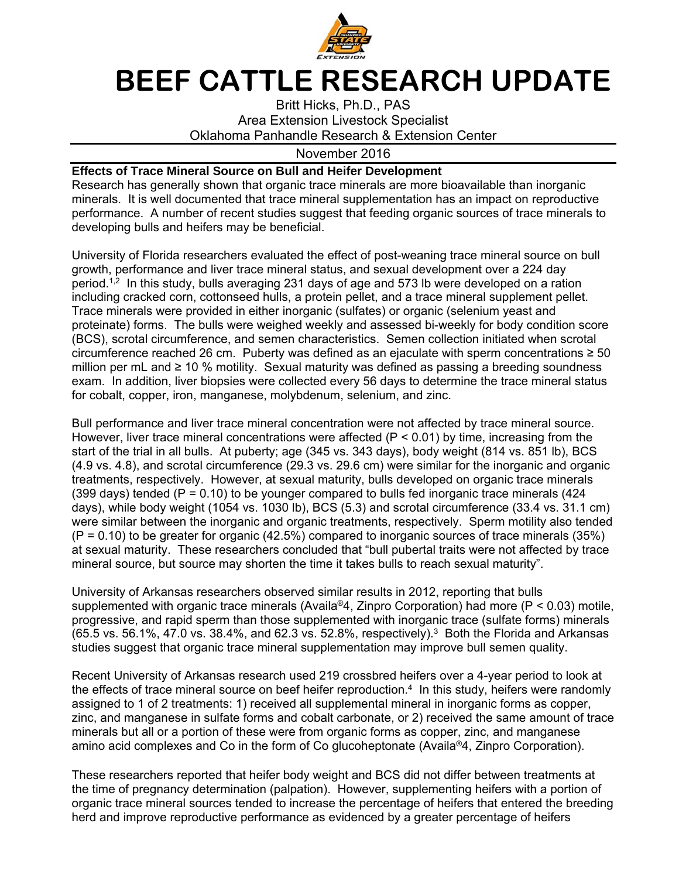

## **BEEF CATTLE RESEARCH UPDATE**

Britt Hicks, Ph.D., PAS Area Extension Livestock Specialist Oklahoma Panhandle Research & Extension Center

## November 2016

## **Effects of Trace Mineral Source on Bull and Heifer Development**

Research has generally shown that organic trace minerals are more bioavailable than inorganic minerals. It is well documented that trace mineral supplementation has an impact on reproductive performance. A number of recent studies suggest that feeding organic sources of trace minerals to developing bulls and heifers may be beneficial.

University of Florida researchers evaluated the effect of post-weaning trace mineral source on bull growth, performance and liver trace mineral status, and sexual development over a 224 day period.<sup>1,2</sup> In this study, bulls averaging 231 days of age and 573 lb were developed on a ration including cracked corn, cottonseed hulls, a protein pellet, and a trace mineral supplement pellet. Trace minerals were provided in either inorganic (sulfates) or organic (selenium yeast and proteinate) forms. The bulls were weighed weekly and assessed bi-weekly for body condition score (BCS), scrotal circumference, and semen characteristics. Semen collection initiated when scrotal circumference reached 26 cm. Puberty was defined as an ejaculate with sperm concentrations  $\geq 50$ million per mL and  $\geq 10$  % motility. Sexual maturity was defined as passing a breeding soundness exam. In addition, liver biopsies were collected every 56 days to determine the trace mineral status for cobalt, copper, iron, manganese, molybdenum, selenium, and zinc.

Bull performance and liver trace mineral concentration were not affected by trace mineral source. However, liver trace mineral concentrations were affected ( $P < 0.01$ ) by time, increasing from the start of the trial in all bulls. At puberty; age (345 vs. 343 days), body weight (814 vs. 851 lb), BCS (4.9 vs. 4.8), and scrotal circumference (29.3 vs. 29.6 cm) were similar for the inorganic and organic treatments, respectively. However, at sexual maturity, bulls developed on organic trace minerals (399 days) tended ( $P = 0.10$ ) to be younger compared to bulls fed inorganic trace minerals (424 days), while body weight (1054 vs. 1030 lb), BCS (5.3) and scrotal circumference (33.4 vs. 31.1 cm) were similar between the inorganic and organic treatments, respectively. Sperm motility also tended  $(P = 0.10)$  to be greater for organic (42.5%) compared to inorganic sources of trace minerals (35%) at sexual maturity. These researchers concluded that "bull pubertal traits were not affected by trace mineral source, but source may shorten the time it takes bulls to reach sexual maturity".

University of Arkansas researchers observed similar results in 2012, reporting that bulls supplemented with organic trace minerals (Availa<sup>®</sup>4, Zinpro Corporation) had more ( $P < 0.03$ ) motile, progressive, and rapid sperm than those supplemented with inorganic trace (sulfate forms) minerals  $(65.5 \text{ vs. } 56.1\%, 47.0 \text{ vs. } 38.4\%, \text{ and } 62.3 \text{ vs. } 52.8\%, \text{ respectively.}^3$  Both the Florida and Arkansas studies suggest that organic trace mineral supplementation may improve bull semen quality.

Recent University of Arkansas research used 219 crossbred heifers over a 4-year period to look at the effects of trace mineral source on beef heifer reproduction.<sup>4</sup> In this study, heifers were randomly assigned to 1 of 2 treatments: 1) received all supplemental mineral in inorganic forms as copper, zinc, and manganese in sulfate forms and cobalt carbonate, or 2) received the same amount of trace minerals but all or a portion of these were from organic forms as copper, zinc, and manganese amino acid complexes and Co in the form of Co glucoheptonate (Availa®4, Zinpro Corporation).

These researchers reported that heifer body weight and BCS did not differ between treatments at the time of pregnancy determination (palpation). However, supplementing heifers with a portion of organic trace mineral sources tended to increase the percentage of heifers that entered the breeding herd and improve reproductive performance as evidenced by a greater percentage of heifers